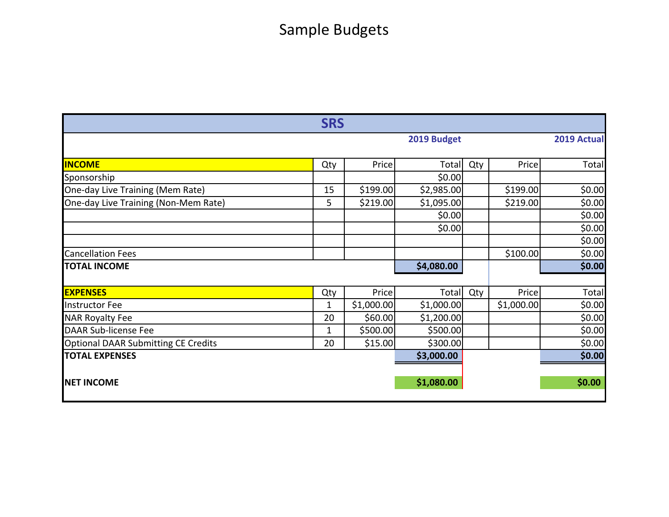## Sample Budgets

| <b>SRS</b>                                 |              |             |              |     |            |        |  |  |  |
|--------------------------------------------|--------------|-------------|--------------|-----|------------|--------|--|--|--|
|                                            |              | 2019 Budget |              |     |            |        |  |  |  |
|                                            |              |             |              |     |            |        |  |  |  |
| <b>INCOME</b>                              | Qty          | Price       | Total        | Qty | Price      | Total  |  |  |  |
| Sponsorship                                |              |             | \$0.00       |     |            |        |  |  |  |
| One-day Live Training (Mem Rate)           | 15           | \$199.00    | \$2,985.00   |     | \$199.00   | \$0.00 |  |  |  |
| One-day Live Training (Non-Mem Rate)       | 5            | \$219.00    | \$1,095.00   |     | \$219.00   | \$0.00 |  |  |  |
|                                            |              |             | \$0.00       |     |            | \$0.00 |  |  |  |
|                                            |              |             | \$0.00       |     |            | \$0.00 |  |  |  |
|                                            |              |             |              |     |            | \$0.00 |  |  |  |
| <b>Cancellation Fees</b>                   |              |             |              |     | \$100.00   | \$0.00 |  |  |  |
| <b>TOTAL INCOME</b>                        |              |             | \$4,080.00   |     |            | \$0.00 |  |  |  |
|                                            |              |             |              |     |            |        |  |  |  |
| <b>EXPENSES</b>                            | Qty          | Price       | <b>Total</b> | Qty | Price      | Total  |  |  |  |
| <b>Instructor Fee</b>                      | 1            | \$1,000.00  | \$1,000.00   |     | \$1,000.00 | \$0.00 |  |  |  |
| <b>NAR Royalty Fee</b>                     | 20           | \$60.00     | \$1,200.00   |     |            | \$0.00 |  |  |  |
| <b>DAAR Sub-license Fee</b>                | $\mathbf{1}$ | \$500.00    | \$500.00     |     |            | \$0.00 |  |  |  |
| <b>Optional DAAR Submitting CE Credits</b> | 20           | \$15.00     | \$300.00]    |     |            | \$0.00 |  |  |  |
| <b>TOTAL EXPENSES</b>                      |              |             | \$3,000.00   |     |            | \$0.00 |  |  |  |
|                                            |              |             |              |     |            |        |  |  |  |
| <b>NET INCOME</b>                          |              |             | \$1,080.00   |     |            | \$0.00 |  |  |  |
|                                            |              |             |              |     |            |        |  |  |  |